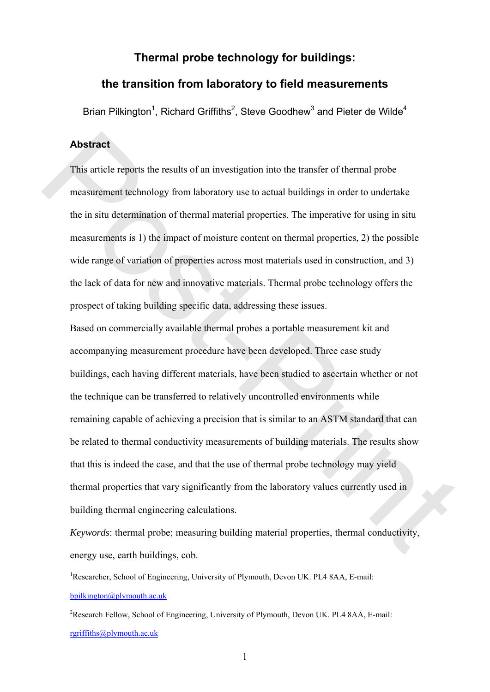# **Thermal probe technology for buildings:**

## **the transition from laboratory to field measurements**

Brian Pilkington<sup>1</sup>, Richard Griffiths<sup>2</sup>, Steve Goodhew<sup>3</sup> and Pieter de Wilde<sup>4</sup>

#### **Abstract**

This article reports the results of an investigation into the transfer of thermal probe measurement technology from laboratory use to actual buildings in order to undertake the in situ determination of thermal material properties. The imperative for using in situ measurements is 1) the impact of moisture content on thermal properties, 2) the possible wide range of variation of properties across most materials used in construction, and 3) the lack of data for new and innovative materials. Thermal probe technology offers the prospect of taking building specific data, addressing these issues.

Based on commercially available thermal probes a portable measurement kit and accompanying measurement procedure have been developed. Three case study buildings, each having different materials, have been studied to ascertain whether or not the technique can be transferred to relatively uncontrolled environments while remaining capable of achieving a precision that is similar to an ASTM standard that can be related to thermal conductivity measurements of building materials. The results show that this is indeed the case, and that the use of thermal probe technology may yield thermal properties that vary significantly from the laboratory values currently used in building thermal engineering calculations. **Abstract**<br>This article reports the results of an investigation into the transfer of thermal probe<br>measurement technology from laboratory use to actual buildings in order to undertake<br>the in situ determination of thermal m

*Keywords*: thermal probe; measuring building material properties, thermal conductivity, energy use, earth buildings, cob.

<sup>1</sup>Researcher, School of Engineering, University of Plymouth, Devon UK. PL4 8AA, E-mail: [bpilkington@plymouth.ac.uk](mailto:bpilkington@plymouth.ac.uk)

<sup>2</sup>Research Fellow, School of Engineering, University of Plymouth, Devon UK. PL4 8AA, E-mail: [rgriffiths@plymouth.ac.uk](mailto:bpilkington@plymouth.ac.uk)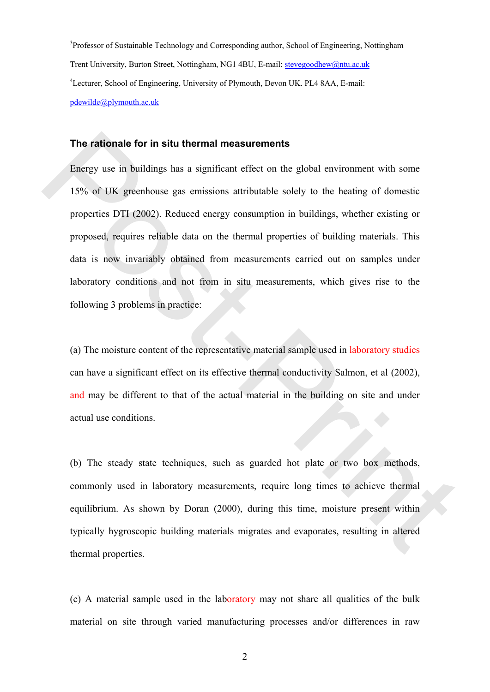<sup>3</sup>Professor of Sustainable Technology and Corresponding author, School of Engineering, Nottingham Trent University, Burton Street, Nottingham, NG1 4BU, E-mail: [stevegoodhew@ntu.ac.uk](mailto:stevegoodhew@ntu.ac.uk) 4 Lecturer, School of Engineering, University of Plymouth, Devon UK. PL4 8AA, E-mail: [pdewilde@plymouth.ac.uk](mailto:bpilkington@plymouth.ac.uk)

#### **The rationale for in situ thermal measurements**

Energy use in buildings has a significant effect on the global environment with some 15% of UK greenhouse gas emissions attributable solely to the heating of domestic properties DTI (2002). Reduced energy consumption in buildings, whether existing or proposed, requires reliable data on the thermal properties of building materials. This data is now invariably obtained from measurements carried out on samples under laboratory conditions and not from in situ measurements, which gives rise to the following 3 problems in practice: The rationale for in situ thermal measurements<br>
Energy use in buildings has a significant effect on the global environment with some<br>
15% of UK greenhouse gas emissions attributable solely to the heating of domestic<br>
prope

(a) The moisture content of the representative material sample used in laboratory studies can have a significant effect on its effective thermal conductivity Salmon, et al (2002), and may be different to that of the actual material in the building on site and under actual use conditions.

(b) The steady state techniques, such as guarded hot plate or two box methods, commonly used in laboratory measurements, require long times to achieve thermal equilibrium. As shown by Doran (2000), during this time, moisture present within typically hygroscopic building materials migrates and evaporates, resulting in altered thermal properties.

(c) A material sample used in the laboratory may not share all qualities of the bulk material on site through varied manufacturing processes and/or differences in raw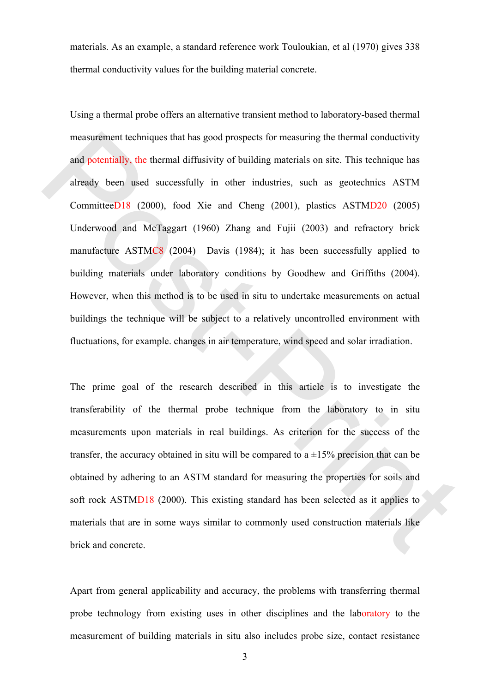materials. As an example, a standard reference work Touloukian, et al (1970) gives 338 thermal conductivity values for the building material concrete.

Using a thermal probe offers an alternative transient method to laboratory-based thermal measurement techniques that has good prospects for measuring the thermal conductivity and potentially, the thermal diffusivity of building materials on site. This technique has already been used successfully in other industries, such as geotechnics ASTM CommitteeD18 (2000), food Xie and Cheng (2001), plastics ASTMD20 (2005) Underwood and McTaggart (1960) Zhang and Fujii (2003) and refractory brick manufacture ASTMC8 (2004) Davis (1984); it has been successfully applied to building materials under laboratory conditions by Goodhew and Griffiths (2004). However, when this method is to be used in situ to undertake measurements on actual buildings the technique will be subject to a relatively uncontrolled environment with fluctuations, for example. changes in air temperature, wind speed and solar irradiation. measurement techniques that has good prospects for measuring the thermal conductivity<br>and potentially, the thermal diffusivity of building materials on site. This rechnique has<br>already been used successfully in other indu

The prime goal of the research described in this article is to investigate the transferability of the thermal probe technique from the laboratory to in situ measurements upon materials in real buildings. As criterion for the success of the transfer, the accuracy obtained in situ will be compared to a  $\pm 15\%$  precision that can be obtained by adhering to an ASTM standard for measuring the properties for soils and soft rock ASTMD18 (2000). This existing standard has been selected as it applies to materials that are in some ways similar to commonly used construction materials like brick and concrete.

Apart from general applicability and accuracy, the problems with transferring thermal probe technology from existing uses in other disciplines and the laboratory to the measurement of building materials in situ also includes probe size, contact resistance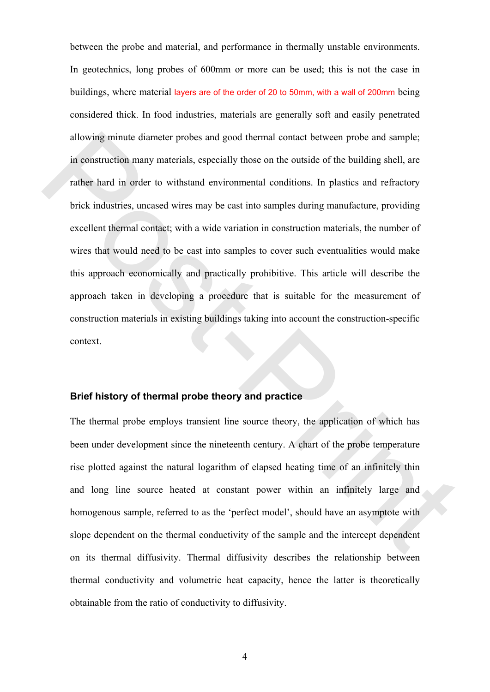between the probe and material, and performance in thermally unstable environments. In geotechnics, long probes of 600mm or more can be used; this is not the case in buildings, where material layers are of the order of 20 to 50mm, with a wall of 200mm being considered thick. In food industries, materials are generally soft and easily penetrated allowing minute diameter probes and good thermal contact between probe and sample; in construction many materials, especially those on the outside of the building shell, are rather hard in order to withstand environmental conditions. In plastics and refractory brick industries, uncased wires may be cast into samples during manufacture, providing excellent thermal contact; with a wide variation in construction materials, the number of wires that would need to be cast into samples to cover such eventualities would make this approach economically and practically prohibitive. This article will describe the approach taken in developing a procedure that is suitable for the measurement of construction materials in existing buildings taking into account the construction-specific context. allowing minute diameter probes and good thermal contact between probe and sample;<br>in construction many materials, especially those on the outside of the building shell, are<br>rather hard in order to withstand environmental

#### **Brief history of thermal probe theory and practice**

The thermal probe employs transient line source theory, the application of which has been under development since the nineteenth century. A chart of the probe temperature rise plotted against the natural logarithm of elapsed heating time of an infinitely thin and long line source heated at constant power within an infinitely large and homogenous sample, referred to as the 'perfect model', should have an asymptote with slope dependent on the thermal conductivity of the sample and the intercept dependent on its thermal diffusivity. Thermal diffusivity describes the relationship between thermal conductivity and volumetric heat capacity, hence the latter is theoretically obtainable from the ratio of conductivity to diffusivity.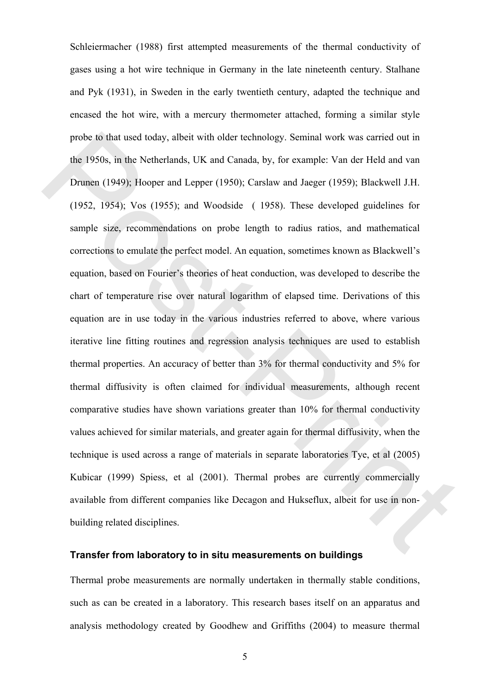Schleiermacher (1988) first attempted measurements of the thermal conductivity of gases using a hot wire technique in Germany in the late nineteenth century. Stalhane and Pyk (1931), in Sweden in the early twentieth century, adapted the technique and encased the hot wire, with a mercury thermometer attached, forming a similar style probe to that used today, albeit with older technology. Seminal work was carried out in the 1950s, in the Netherlands, UK and Canada, by, for example: Van der Held and van Drunen (1949); Hooper and Lepper (1950); Carslaw and Jaeger (1959); Blackwell J.H. (1952, 1954); Vos (1955); and Woodside ( 1958). These developed guidelines for sample size, recommendations on probe length to radius ratios, and mathematical corrections to emulate the perfect model. An equation, sometimes known as Blackwell's equation, based on Fourier's theories of heat conduction, was developed to describe the chart of temperature rise over natural logarithm of elapsed time. Derivations of this equation are in use today in the various industries referred to above, where various iterative line fitting routines and regression analysis techniques are used to establish thermal properties. An accuracy of better than 3% for thermal conductivity and 5% for thermal diffusivity is often claimed for individual measurements, although recent comparative studies have shown variations greater than 10% for thermal conductivity values achieved for similar materials, and greater again for thermal diffusivity, when the technique is used across a range of materials in separate laboratories Tye, et al (2005) Kubicar (1999) Spiess, et al (2001). Thermal probes are currently commercially available from different companies like Decagon and Hukseflux, albeit for use in nonbuilding related disciplines. probe to that used today, albeit with older technology. Seminal work was carried out in<br>the 1950s, in the Netherlands, UK and Canada, by, for example: Van der Held and van<br>Drunen (1949); Hooper and Lepper (1950); Carstaw a

### **Transfer from laboratory to in situ measurements on buildings**

Thermal probe measurements are normally undertaken in thermally stable conditions, such as can be created in a laboratory. This research bases itself on an apparatus and analysis methodology created by Goodhew and Griffiths (2004) to measure thermal

5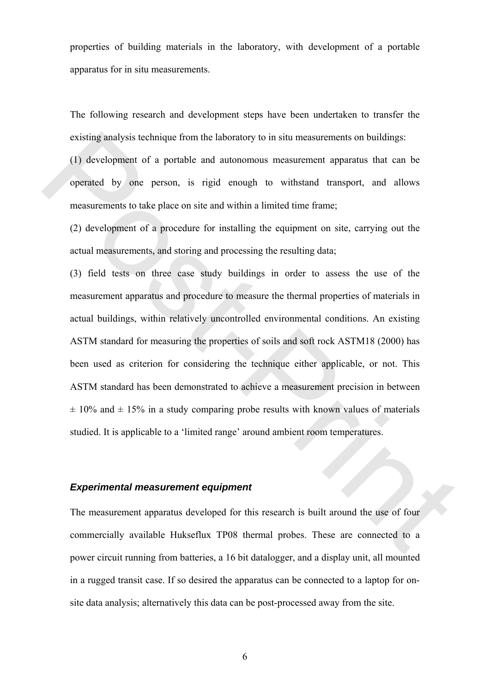properties of building materials in the laboratory, with development of a portable apparatus for in situ measurements.

The following research and development steps have been undertaken to transfer the existing analysis technique from the laboratory to in situ measurements on buildings:

(1) development of a portable and autonomous measurement apparatus that can be operated by one person, is rigid enough to withstand transport, and allows measurements to take place on site and within a limited time frame;

(2) development of a procedure for installing the equipment on site, carrying out the actual measurements, and storing and processing the resulting data;

(3) field tests on three case study buildings in order to assess the use of the measurement apparatus and procedure to measure the thermal properties of materials in actual buildings, within relatively uncontrolled environmental conditions. An existing ASTM standard for measuring the properties of soils and soft rock ASTM18 (2000) has been used as criterion for considering the technique either applicable, or not. This ASTM standard has been demonstrated to achieve a measurement precision in between  $\pm$  10% and  $\pm$  15% in a study comparing probe results with known values of materials studied. It is applicable to a 'limited range' around ambient room temperatures. evising analysis technique from the laboratory to in situ measurements on huildings.<br>
(1) development of a portable and autonomous measurement apparatus that can be<br>
operated by one person, is rigid enough to withstand tra

#### *Experimental measurement equipment*

The measurement apparatus developed for this research is built around the use of four commercially available Hukseflux TP08 thermal probes. These are connected to a power circuit running from batteries, a 16 bit datalogger, and a display unit, all mounted in a rugged transit case. If so desired the apparatus can be connected to a laptop for onsite data analysis; alternatively this data can be post-processed away from the site.

6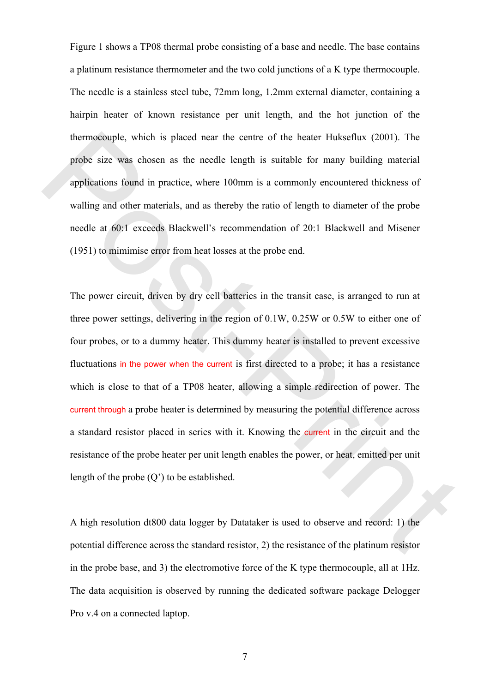Figure 1 shows a TP08 thermal probe consisting of a base and needle. The base contains a platinum resistance thermometer and the two cold junctions of a K type thermocouple. The needle is a stainless steel tube, 72mm long, 1.2mm external diameter, containing a hairpin heater of known resistance per unit length, and the hot junction of the thermocouple, which is placed near the centre of the heater Hukseflux (2001). The probe size was chosen as the needle length is suitable for many building material applications found in practice, where 100mm is a commonly encountered thickness of walling and other materials, and as thereby the ratio of length to diameter of the probe needle at 60:1 exceeds Blackwell's recommendation of 20:1 Blackwell and Misener (1951) to mimimise error from heat losses at the probe end.

The power circuit, driven by dry cell batteries in the transit case, is arranged to run at three power settings, delivering in the region of 0.1W, 0.25W or 0.5W to either one of four probes, or to a dummy heater. This dummy heater is installed to prevent excessive fluctuations in the power when the current is first directed to a probe; it has a resistance which is close to that of a TP08 heater, allowing a simple redirection of power. The current through a probe heater is determined by measuring the potential difference across a standard resistor placed in series with it. Knowing the current in the circuit and the resistance of the probe heater per unit length enables the power, or heat, emitted per unit length of the probe (Q') to be established. thermoscouple, which is placed near the centre of the heater Huksellux (2001). The<br>probe size was chosen as the needle length is suitable for many building material<br>applications found in practice, where 100mm is a commonl

A high resolution dt800 data logger by Datataker is used to observe and record: 1) the potential difference across the standard resistor, 2) the resistance of the platinum resistor in the probe base, and 3) the electromotive force of the K type thermocouple, all at 1Hz. The data acquisition is observed by running the dedicated software package Delogger Pro v.4 on a connected laptop.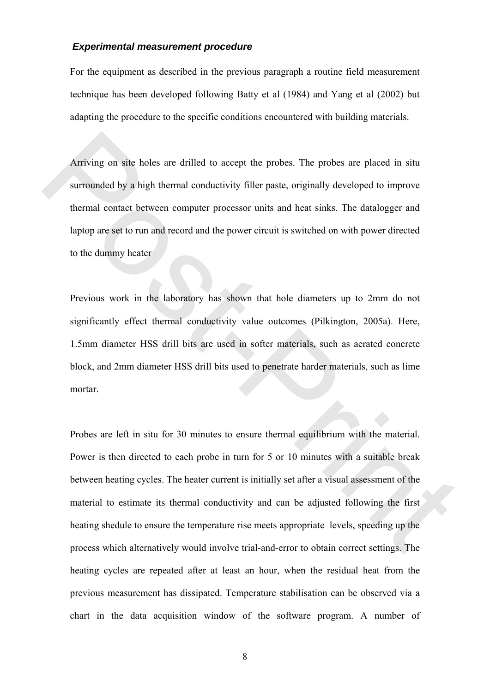#### *Experimental measurement procedure*

For the equipment as described in the previous paragraph a routine field measurement technique has been developed following Batty et al (1984) and Yang et al (2002) but adapting the procedure to the specific conditions encountered with building materials.

Arriving on site holes are drilled to accept the probes. The probes are placed in situ surrounded by a high thermal conductivity filler paste, originally developed to improve thermal contact between computer processor units and heat sinks. The datalogger and laptop are set to run and record and the power circuit is switched on with power directed to the dummy heater

Previous work in the laboratory has shown that hole diameters up to 2mm do not significantly effect thermal conductivity value outcomes (Pilkington, 2005a). Here, 1.5mm diameter HSS drill bits are used in softer materials, such as aerated concrete block, and 2mm diameter HSS drill bits used to penetrate harder materials, such as lime mortar.

Probes are left in situ for 30 minutes to ensure thermal equilibrium with the material. Power is then directed to each probe in turn for 5 or 10 minutes with a suitable break between heating cycles. The heater current is initially set after a visual assessment of the material to estimate its thermal conductivity and can be adjusted following the first heating shedule to ensure the temperature rise meets appropriate levels, speeding up the process which alternatively would involve trial-and-error to obtain correct settings. The heating cycles are repeated after at least an hour, when the residual heat from the previous measurement has dissipated. Temperature stabilisation can be observed via a chart in the data acquisition window of the software program. A number of Arriving on site holes are drilled to accept the probes. The probes are placed in situ<br>surrounded by a high thermal conductivity filler paste, originally developed to improve<br>thermal contact between computer processor uni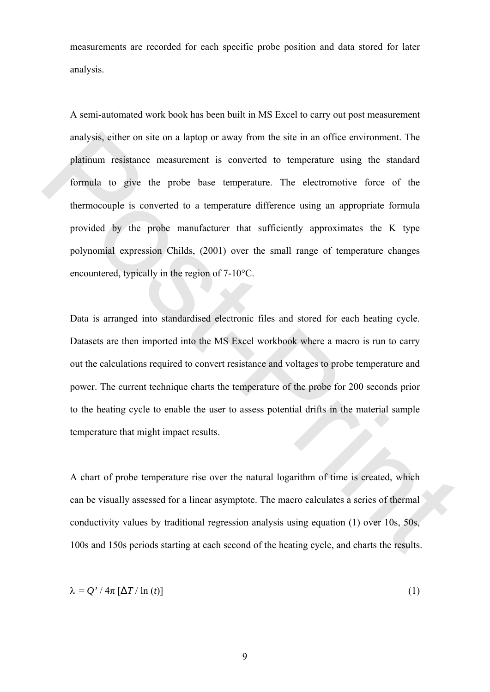measurements are recorded for each specific probe position and data stored for later analysis.

A semi-automated work book has been built in MS Excel to carry out post measurement analysis, either on site on a laptop or away from the site in an office environment. The platinum resistance measurement is converted to temperature using the standard formula to give the probe base temperature. The electromotive force of the thermocouple is converted to a temperature difference using an appropriate formula provided by the probe manufacturer that sufficiently approximates the K type polynomial expression Childs, (2001) over the small range of temperature changes encountered, typically in the region of 7-10°C. analysis, either on site on a laptop or away from the site in an office environment. The<br>platinum resistance measurement is converted to temperature using the standard<br>formula to give the probe base temperature. The elect

Data is arranged into standardised electronic files and stored for each heating cycle. Datasets are then imported into the MS Excel workbook where a macro is run to carry out the calculations required to convert resistance and voltages to probe temperature and power. The current technique charts the temperature of the probe for 200 seconds prior to the heating cycle to enable the user to assess potential drifts in the material sample temperature that might impact results.

A chart of probe temperature rise over the natural logarithm of time is created, which can be visually assessed for a linear asymptote. The macro calculates a series of thermal conductivity values by traditional regression analysis using equation (1) over 10s, 50s, 100s and 150s periods starting at each second of the heating cycle, and charts the results.

$$
\lambda = Q' / 4\pi \left[ \Delta T / \ln \left( t \right) \right] \tag{1}
$$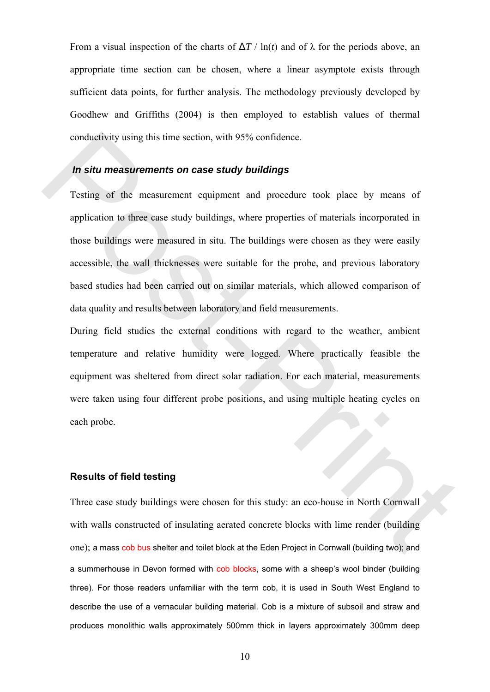From a visual inspection of the charts of  $\Delta T / \ln(t)$  and of  $\lambda$  for the periods above, an appropriate time section can be chosen, where a linear asymptote exists through sufficient data points, for further analysis. The methodology previously developed by Goodhew and Griffiths (2004) is then employed to establish values of thermal conductivity using this time section, with 95% confidence.

#### *In situ measurements on case study buildings*

Testing of the measurement equipment and procedure took place by means of application to three case study buildings, where properties of materials incorporated in those buildings were measured in situ. The buildings were chosen as they were easily accessible, the wall thicknesses were suitable for the probe, and previous laboratory based studies had been carried out on similar materials, which allowed comparison of data quality and results between laboratory and field measurements. conductivity using this time section, with 95% confidence.<br> **In situ measurements on case study buildings**<br>
Testing of the measurement equipment and procedure took pluce by means of<br>
application to three case study buildin

During field studies the external conditions with regard to the weather, ambient temperature and relative humidity were logged. Where practically feasible the equipment was sheltered from direct solar radiation. For each material, measurements were taken using four different probe positions, and using multiple heating cycles on each probe.

#### **Results of field testing**

Three case study buildings were chosen for this study: an eco-house in North Cornwall with walls constructed of insulating aerated concrete blocks with lime render (building one); a mass cob bus shelter and toilet block at the Eden Project in Cornwall (building two); and a summerhouse in Devon formed with cob blocks, some with a sheep's wool binder (building three). For those readers unfamiliar with the term cob, it is used in South West England to describe the use of a vernacular building material. Cob is a mixture of subsoil and straw and produces monolithic walls approximately 500mm thick in layers approximately 300mm deep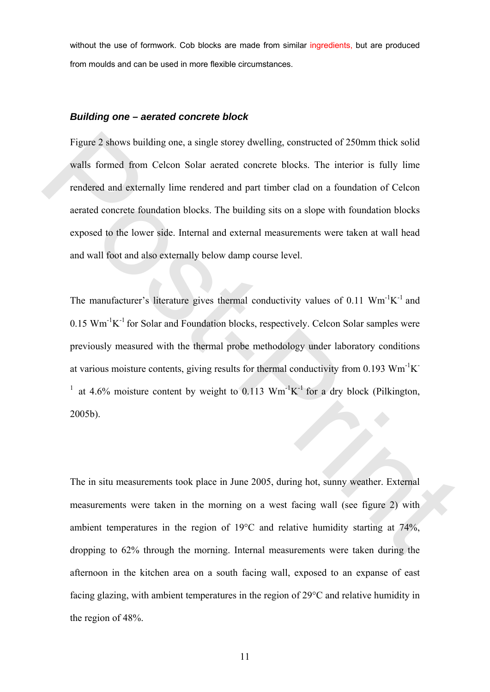without the use of formwork. Cob blocks are made from similar ingredients, but are produced from moulds and can be used in more flexible circumstances.

#### *Building one – aerated concrete block*

Figure 2 shows building one, a single storey dwelling, constructed of 250mm thick solid walls formed from Celcon Solar aerated concrete blocks. The interior is fully lime rendered and externally lime rendered and part timber clad on a foundation of Celcon aerated concrete foundation blocks. The building sits on a slope with foundation blocks exposed to the lower side. Internal and external measurements were taken at wall head and wall foot and also externally below damp course level.

The manufacturer's literature gives thermal conductivity values of 0.11  $\text{Wm}^{-1}\text{K}^{-1}$  and  $0.15$  Wm<sup>-1</sup>K<sup>-1</sup> for Solar and Foundation blocks, respectively. Celcon Solar samples were previously measured with the thermal probe methodology under laboratory conditions at various moisture contents, giving results for thermal conductivity from 0.193  $Wm^{-1}K^{-}$ <sup>1</sup> at 4.6% moisture content by weight to 0.113  $Wm^{-1}K^{-1}$  for a dry block (Pilkington, 2005b). Figure 2 shows building one, a single storey dwelling, constructed of 250mm thick solid<br>walls formed from Celcon Solar acrated concrete blocks. The interior is fully lime<br>rendered and externally lime rendered and part tim

The in situ measurements took place in June 2005, during hot, sunny weather. External measurements were taken in the morning on a west facing wall (see figure 2) with ambient temperatures in the region of 19°C and relative humidity starting at 74%, dropping to 62% through the morning. Internal measurements were taken during the afternoon in the kitchen area on a south facing wall, exposed to an expanse of east facing glazing, with ambient temperatures in the region of 29°C and relative humidity in the region of 48%.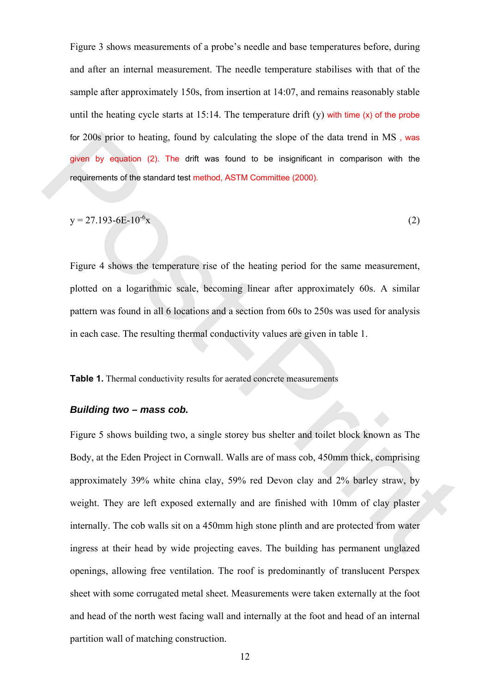Figure 3 shows measurements of a probe's needle and base temperatures before, during and after an internal measurement. The needle temperature stabilises with that of the sample after approximately 150s, from insertion at 14:07, and remains reasonably stable until the heating cycle starts at  $15:14$ . The temperature drift (y) with time (x) of the probe for 200s prior to heating, found by calculating the slope of the data trend in MS , was given by equation (2). The drift was found to be insignificant in comparison with the requirements of the standard test method, ASTM Committee (2000).

$$
y = 27.193 - 6E - 10^{-6}x\tag{2}
$$

Figure 4 shows the temperature rise of the heating period for the same measurement, plotted on a logarithmic scale, becoming linear after approximately 60s. A similar pattern was found in all 6 locations and a section from 60s to 250s was used for analysis in each case. The resulting thermal conductivity values are given in table 1.

**Table 1.** Thermal conductivity results for aerated concrete measurements

#### *Building two – mass cob.*

Figure 5 shows building two, a single storey bus shelter and toilet block known as The Body, at the Eden Project in Cornwall. Walls are of mass cob, 450mm thick, comprising approximately 39% white china clay, 59% red Devon clay and 2% barley straw, by weight. They are left exposed externally and are finished with 10mm of clay plaster internally. The cob walls sit on a 450mm high stone plinth and are protected from water ingress at their head by wide projecting eaves. The building has permanent unglazed openings, allowing free ventilation. The roof is predominantly of translucent Perspex sheet with some corrugated metal sheet. Measurements were taken externally at the foot and head of the north west facing wall and internally at the foot and head of an internal partition wall of matching construction. for 200s prior to heating, found by calculating the slope of the data tend in MS, was<br>given by equation (2). The offt was found to be insignificant in comparison with the<br>requirements of the standard test method, ASTM Com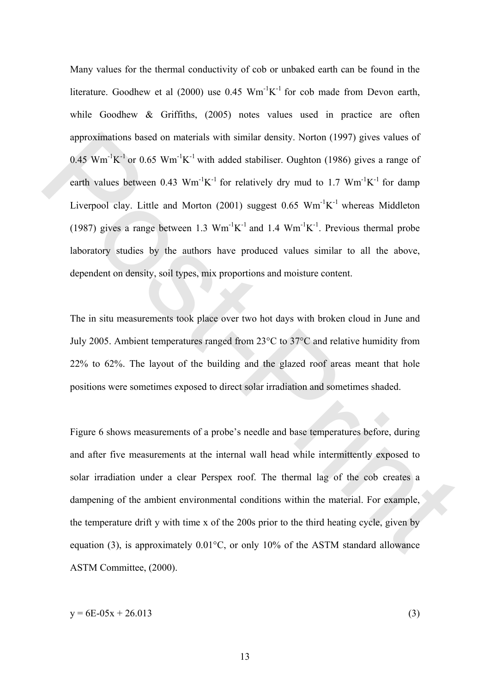Many values for the thermal conductivity of cob or unbaked earth can be found in the literature. Goodhew et al (2000) use  $0.45 \text{ Wm}^{-1}\text{K}^{-1}$  for cob made from Devon earth, while Goodhew & Griffiths, (2005) notes values used in practice are often approximations based on materials with similar density. Norton (1997) gives values of 0.45 Wm<sup>-1</sup>K<sup>-1</sup> or 0.65 Wm<sup>-1</sup>K<sup>-1</sup> with added stabiliser. Oughton (1986) gives a range of earth values between 0.43  $Wm^{-1}K^{-1}$  for relatively dry mud to 1.7  $Wm^{-1}K^{-1}$  for damp Liverpool clay. Little and Morton (2001) suggest  $0.65 \text{ Wm}^{-1}\text{K}^{-1}$  whereas Middleton (1987) gives a range between 1.3  $Wm^{-1}K^{-1}$  and 1.4  $Wm^{-1}K^{-1}$ . Previous thermal probe laboratory studies by the authors have produced values similar to all the above, dependent on density, soil types, mix proportions and moisture content. approximations hased on materials with similar density. Norton (1997) gives values of<br>
0.45 Wm<sup>1</sup>K<sup>-1</sup> or 0.65 Wm<sup>1</sup>K<sup>-1</sup> with added stabiliser. Oughton (1986) gives a range of<br>
earth values between 0.43 Wm<sup>1</sup>K<sup>-1</sup> for re

The in situ measurements took place over two hot days with broken cloud in June and July 2005. Ambient temperatures ranged from 23°C to 37°C and relative humidity from 22% to 62%. The layout of the building and the glazed roof areas meant that hole positions were sometimes exposed to direct solar irradiation and sometimes shaded.

Figure 6 shows measurements of a probe's needle and base temperatures before, during and after five measurements at the internal wall head while intermittently exposed to solar irradiation under a clear Perspex roof. The thermal lag of the cob creates a dampening of the ambient environmental conditions within the material. For example, the temperature drift y with time x of the 200s prior to the third heating cycle, given by equation (3), is approximately  $0.01^{\circ}$ C, or only 10% of the ASTM standard allowance ASTM Committee, (2000).

$$
y = 6E - 05x + 26.013
$$
 (3)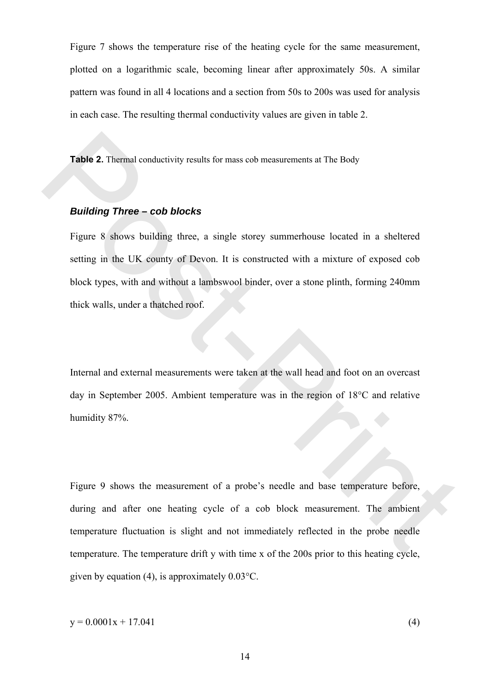Figure 7 shows the temperature rise of the heating cycle for the same measurement, plotted on a logarithmic scale, becoming linear after approximately 50s. A similar pattern was found in all 4 locations and a section from 50s to 200s was used for analysis in each case. The resulting thermal conductivity values are given in table 2.

**Table 2.** Thermal conductivity results for mass cob measurements at The Body

## *Building Three – cob blocks*

Figure 8 shows building three, a single storey summerhouse located in a sheltered setting in the UK county of Devon. It is constructed with a mixture of exposed cob block types, with and without a lambswool binder, over a stone plinth, forming 240mm thick walls, under a thatched roof. Table 2. Thermal conductivity results for mass cob measurements at The Body<br> **Building Three – cob blocks**<br>
Figure 8 shows building three, a single storey summerhouse located in a sheltered<br>
setting in the UK country of D

Internal and external measurements were taken at the wall head and foot on an overcast day in September 2005. Ambient temperature was in the region of 18°C and relative humidity 87%.

Figure 9 shows the measurement of a probe's needle and base temperature before, during and after one heating cycle of a cob block measurement. The ambient temperature fluctuation is slight and not immediately reflected in the probe needle temperature. The temperature drift y with time x of the 200s prior to this heating cycle, given by equation (4), is approximately 0.03°C.

 $y = 0.0001x + 17.041$  (4)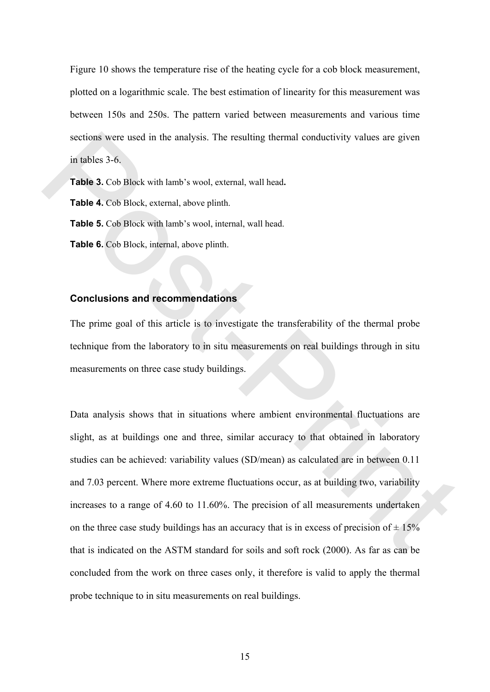Figure 10 shows the temperature rise of the heating cycle for a cob block measurement, plotted on a logarithmic scale. The best estimation of linearity for this measurement was between 150s and 250s. The pattern varied between measurements and various time sections were used in the analysis. The resulting thermal conductivity values are given in tables 3-6.

**Table 3.** Cob Block with lamb's wool, external, wall head**.** 

**Table 4.** Cob Block, external, above plinth.

**Table 5.** Cob Block with lamb's wool, internal, wall head.

**Table 6.** Cob Block, internal, above plinth.

#### **Conclusions and recommendations**

The prime goal of this article is to investigate the transferability of the thermal probe technique from the laboratory to in situ measurements on real buildings through in situ measurements on three case study buildings.

Data analysis shows that in situations where ambient environmental fluctuations are slight, as at buildings one and three, similar accuracy to that obtained in laboratory studies can be achieved: variability values (SD/mean) as calculated are in between 0.11 and 7.03 percent. Where more extreme fluctuations occur, as at building two, variability increases to a range of 4.60 to 11.60%. The precision of all measurements undertaken on the three case study buildings has an accuracy that is in excess of precision of  $\pm 15\%$ that is indicated on the ASTM standard for soils and soft rock (2000). As far as can be concluded from the work on three cases only, it therefore is valid to apply the thermal probe technique to in situ measurements on real buildings. sections were used in the analysis. The resulting thermal conductivity values are given<br>in table 3. Cob Block with lamb's wood, external, wall head.<br> **Table 4.** Cob Block external, above plinth.<br> **Table 6.** Cob Block with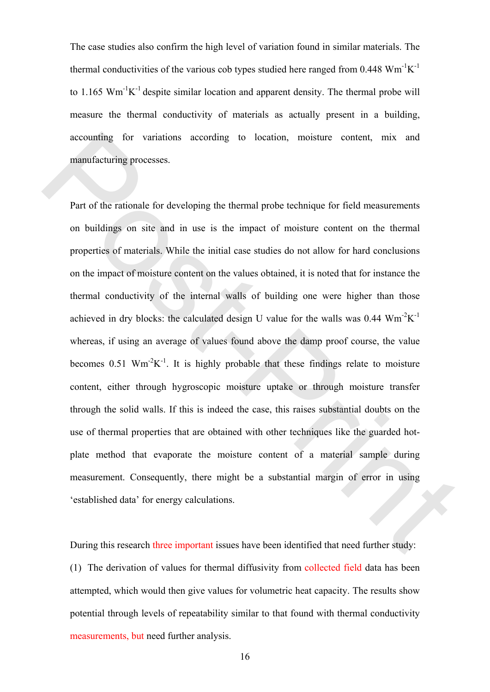The case studies also confirm the high level of variation found in similar materials. The thermal conductivities of the various cob types studied here ranged from  $0.448 \text{ Wm}^{-1} \text{K}^{-1}$ to 1.165  $\text{Wm}^{-1}\text{K}^{-1}$  despite similar location and apparent density. The thermal probe will measure the thermal conductivity of materials as actually present in a building, accounting for variations according to location, moisture content, mix and manufacturing processes.

Part of the rationale for developing the thermal probe technique for field measurements on buildings on site and in use is the impact of moisture content on the thermal properties of materials. While the initial case studies do not allow for hard conclusions on the impact of moisture content on the values obtained, it is noted that for instance the thermal conductivity of the internal walls of building one were higher than those achieved in dry blocks: the calculated design U value for the walls was  $0.44 \text{ Wm}^{-2}\text{K}^{-1}$ whereas, if using an average of values found above the damp proof course, the value becomes 0.51 Wm<sup>-2</sup>K<sup>-1</sup>. It is highly probable that these findings relate to moisture content, either through hygroscopic moisture uptake or through moisture transfer through the solid walls. If this is indeed the case, this raises substantial doubts on the use of thermal properties that are obtained with other techniques like the guarded hotplate method that evaporate the moisture content of a material sample during measurement. Consequently, there might be a substantial margin of error in using 'established data' for energy calculations. accounting for variations according to location, moisture content, mix and<br>manufacturing processes.<br>Part of the rationale for developing the thermal probe technique for field measurements<br>on buildings on site and in use i

During this research three important issues have been identified that need further study: (1) The derivation of values for thermal diffusivity from collected field data has been attempted, which would then give values for volumetric heat capacity. The results show potential through levels of repeatability similar to that found with thermal conductivity measurements, but need further analysis.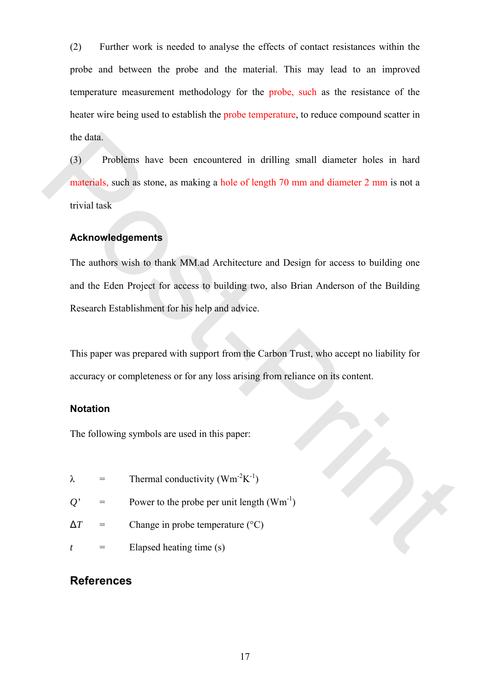(2) Further work is needed to analyse the effects of contact resistances within the probe and between the probe and the material. This may lead to an improved temperature measurement methodology for the probe, such as the resistance of the heater wire being used to establish the probe temperature, to reduce compound scatter in the data.

(3) Problems have been encountered in drilling small diameter holes in hard materials, such as stone, as making a hole of length 70 mm and diameter 2 mm is not a trivial task the data.<br>
(3) Problems have been encountered in drilling small diameter holes in hard<br>
materials, such as stone, as making a hole of length 70 mm and diameter 2 mm is not a<br>
trivial tusk<br> **Acknowledgements**<br>
The authors

#### **Acknowledgements**

The authors wish to thank MM.ad Architecture and Design for access to building one and the Eden Project for access to building two, also Brian Anderson of the Building Research Establishment for his help and advice.

This paper was prepared with support from the Carbon Trust, who accept no liability for accuracy or completeness or for any loss arising from reliance on its content.

#### **Notation**

The following symbols are used in this paper:

- $\lambda$  = Thermal conductivity (Wm<sup>-2</sup>K<sup>-1</sup>)
- $Q'$  = Power to the probe per unit length  $(Wm^{-1})$
- $\Delta T$  = Change in probe temperature ( $^{\circ}$ C)
- $t =$  Elapsed heating time (s)

## **References**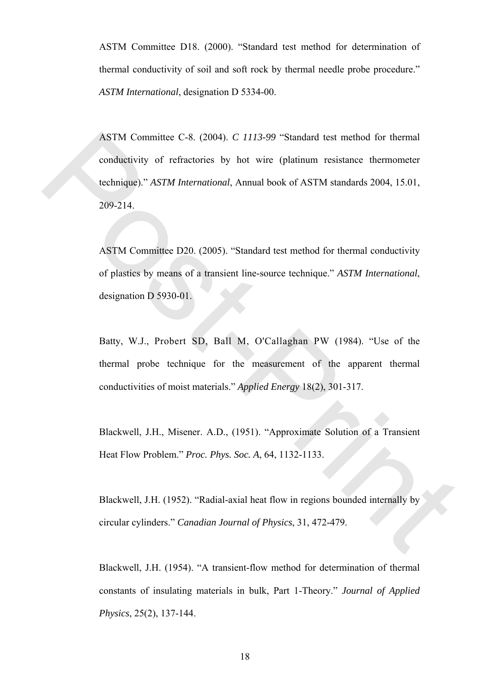ASTM Committee D18. (2000). "Standard test method for determination of thermal conductivity of soil and soft rock by thermal needle probe procedure." *ASTM International*, designation D 5334-00.

ASTM Committee C-8. (2004). *C 1113-99* "Standard test method for thermal conductivity of refractories by hot wire (platinum resistance thermometer technique)." *ASTM International*, Annual book of ASTM standards 2004, 15.01, 209-214. ASTM Committee C-8. (2004).  $G/1135-99$  "Slundard test method for thermal<br>conductivity of refractories by hot wire (platinum resistance thermometer<br>technique)."  $\triangle STM International book$  of  $\triangle STM$  standards 2004, 15.01,<br>209-214.<br>ASTM Comm

ASTM Committee D20. (2005). "Standard test method for thermal conductivity of plastics by means of a transient line-source technique." *ASTM International*, designation D 5930-01.

Batty, W.J., Probert SD, Ball M, O'Callaghan PW (1984). "Use of the thermal probe technique for the measurement of the apparent thermal conductivities of moist materials." *Applied Energy* 18(2), 301-317.

Blackwell, J.H., Misener. A.D., (1951). "Approximate Solution of a Transient Heat Flow Problem." *Proc. Phys. Soc. A*, 64, 1132-1133.

Blackwell, J.H. (1952). "Radial-axial heat flow in regions bounded internally by circular cylinders." *Canadian Journal of Physics*, 31, 472-479.

Blackwell, J.H. (1954). "A transient-flow method for determination of thermal constants of insulating materials in bulk, Part 1-Theory." *Journal of Applied Physics*, 25(2), 137-144.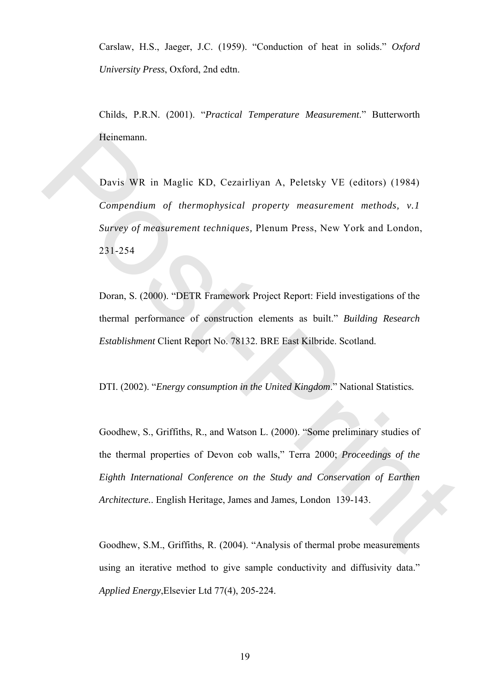Carslaw, H.S., Jaeger, J.C. (1959). "Conduction of heat in solids." *Oxford University Press*, Oxford, 2nd edtn.

Childs, P.R.N. (2001). "*Practical Temperature Measurement*." Butterworth Heinemann.

Davis WR in Maglic KD, Cezairliyan A, Peletsky VE (editors) (1984) *Compendium of thermophysical property measurement methods, v.1 Survey of measurement techniques,* Plenum Press, New York and London, 231-254 Heinemann.<br>
Davis WR in Maglic KD, Cezairliyan A, Peletsky VE (editors) (1984)<br>
Compendium of thermophysical property measurement methods. v.1<br>
Survey of measurement techniques, Plenum Press, New York and London,<br>
231-254<br>

Doran, S. (2000). "DETR Framework Project Report: Field investigations of the thermal performance of construction elements as built." *Building Research Establishment* Client Report No. 78132. BRE East Kilbride. Scotland.

DTI. (2002). "*Energy consumption in the United Kingdom*." National Statistics*.*

Goodhew, S., Griffiths, R., and Watson L. (2000). "Some preliminary studies of the thermal properties of Devon cob walls," Terra 2000; *Proceedings of the Eighth International Conference on the Study and Conservation of Earthen Architecture.*. English Heritage, James and James*,* London 139-143.

Goodhew, S.M., Griffiths, R. (2004). "Analysis of thermal probe measurements using an iterative method to give sample conductivity and diffusivity data." *Applied Energy*,Elsevier Ltd 77(4), 205-224.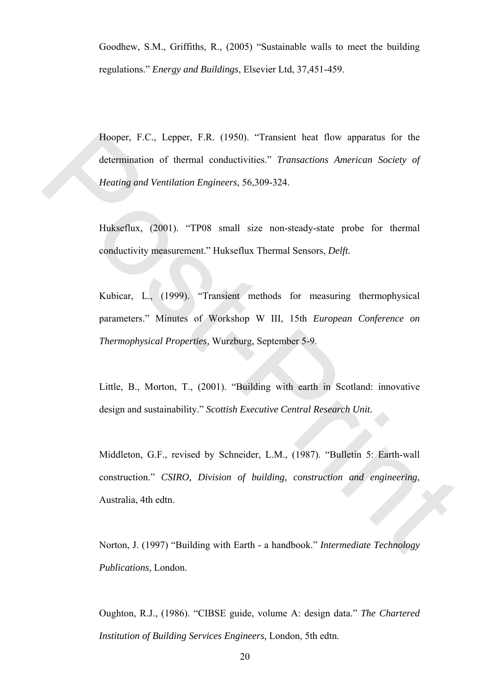Goodhew, S.M., Griffiths, R., (2005) "Sustainable walls to meet the building regulations." *Energy and Buildings*, Elsevier Ltd, 37,451-459.

Hooper, F.C., Lepper, F.R. (1950). "Transient heat flow apparatus for the determination of thermal conductivities." *Transactions American Society of Heating and Ventilation Engineers*, 56,309-324. Hooper, F.C., Lepper, F.R. (1950). "Transient heat flow apparatus for the<br>determination of thermal conductivities." *Transactions American Society of*<br>*Healing and Venillation Engineers*, 56,309-324.<br>
Hukseflux, (2001). "

Hukseflux, (2001). "TP08 small size non-steady-state probe for thermal conductivity measurement." Hukseflux Thermal Sensors, *Delft.*

Kubicar, L., (1999). "Transient methods for measuring thermophysical parameters." Minutes of Workshop W III, 15th *European Conference on Thermophysical Properties,* Wurzburg, September 5-9.

Little, B., Morton, T., (2001). "Building with earth in Scotland: innovative design and sustainability." *Scottish Executive Central Research Unit.*

Middleton, G.F., revised by Schneider, L.M., (1987). "Bulletin 5: Earth-wall construction." *CSIRO, Division of building, construction and engineering*, Australia, 4th edtn.

Norton, J. (1997) "Building with Earth - a handbook." *Intermediate Technology Publications,* London.

Oughton, R.J., (1986). "CIBSE guide, volume A: design data." *The Chartered Institution of Building Services Engineers,* London, 5th edtn.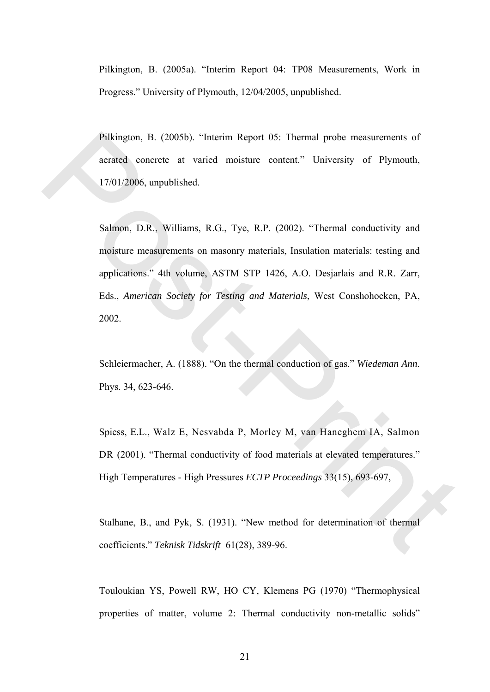Pilkington, B. (2005a). "Interim Report 04: TP08 Measurements, Work in Progress." University of Plymouth, 12/04/2005, unpublished.

Pilkington, B. (2005b). "Interim Report 05: Thermal probe measurements of aerated concrete at varied moisture content." University of Plymouth, 17/01/2006, unpublished.

Salmon, D.R., Williams, R.G., Tye, R.P. (2002). "Thermal conductivity and moisture measurements on masonry materials, Insulation materials: testing and applications." 4th volume, ASTM STP 1426, A.O. Desjarlais and R.R. Zarr, Eds., *American Society for Testing and Materials*, West Conshohocken, PA, 2002. Pilkington, B. (2005b). "Interim Report 05: Thermal probe measurements of<br>accrated concrete at varied moisture content." University of Plymouth,<br>17/01/2006, unpublished.<br>Salmon, D.R., Williams, R.G., Tye, R.P. (2002). "Th

Schleiermacher, A. (1888). "On the thermal conduction of gas." *Wiedeman Ann*. Phys. 34, 623-646.

Spiess, E.L., Walz E, Nesvabda P, Morley M, van Haneghem IA, Salmon DR (2001). "Thermal conductivity of food materials at elevated temperatures." High Temperatures - High Pressures *ECTP Proceedings* 33(15), 693-697,

Stalhane, B., and Pyk, S. (1931). "New method for determination of thermal coefficients." *Teknisk Tidskrift* 61(28), 389-96.

Touloukian YS, Powell RW, HO CY, Klemens PG (1970) "Thermophysical properties of matter, volume 2: Thermal conductivity non-metallic solids"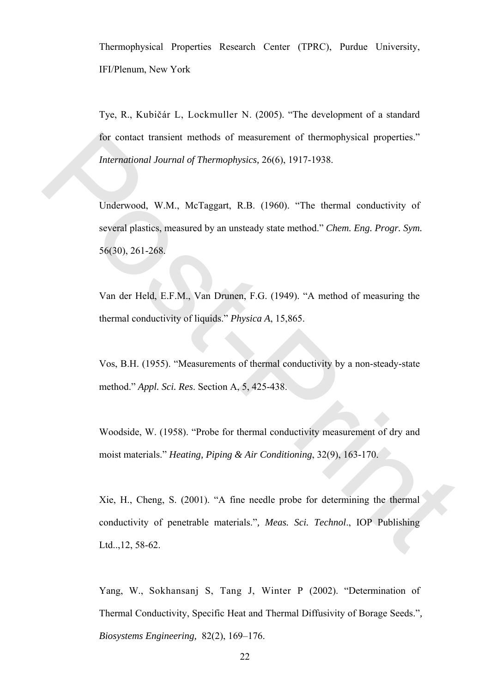Thermophysical Properties Research Center (TPRC), Purdue University, IFI/Plenum, New York

Tye, R., Kubičár L, Lockmuller N. (2005). "The development of a standard for contact transient methods of measurement of thermophysical properties." *International Journal of Thermophysics,* 26(6), 1917-1938.

Underwood, W.M., McTaggart, R.B. (1960). "The thermal conductivity of several plastics, measured by an unsteady state method." *Chem. Eng. Progr. Sym.*  56(30), 261-268. for contact transient methods of measurement of thermophysical properties."<br>
International Journal of Thermophysics, 26(6), 1917-1938.<br>
Underwood, W.M., McTaggart, R.B. (1960). "The thermal conductivity of<br>
several plasti

Van der Held, E.F.M., Van Drunen, F.G. (1949). "A method of measuring the thermal conductivity of liquids." *Physica A*, 15,865.

Vos, B.H. (1955). "Measurements of thermal conductivity by a non-steady-state method." *Appl. Sci. Res*. Section A, 5, 425-438.

Woodside, W. (1958). "Probe for thermal conductivity measurement of dry and moist materials." *Heating, Piping & Air Conditioning*, 32(9), 163-170.

Xie, H., Cheng, S. (2001). "A fine needle probe for determining the thermal conductivity of penetrable materials."*, Meas. Sci. Technol*., IOP Publishing Ltd..,12, 58-62.

Yang, W., Sokhansanj S, Tang J, Winter P (2002). "Determination of Thermal Conductivity, Specific Heat and Thermal Diffusivity of Borage Seeds."*, Biosystems Engineering,* 82(2), 169–176.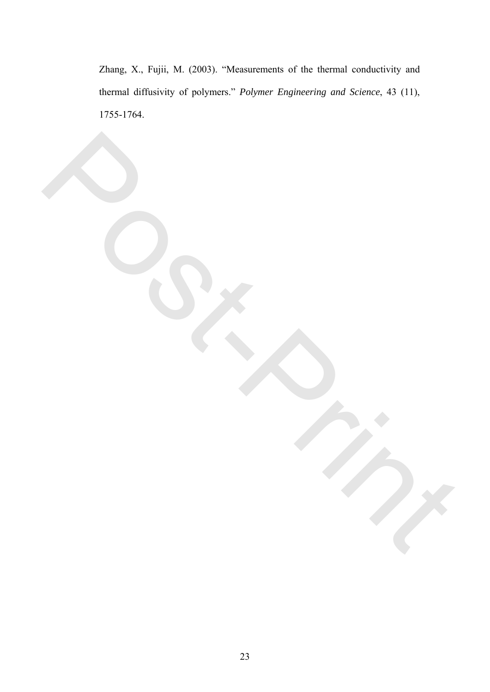Zhang, X., Fujii, M. (2003). "Measurements of the thermal conductivity and thermal diffusivity of polymers." *Polymer Engineering and Science*, 43 (11), 1755-1764.

Post-Print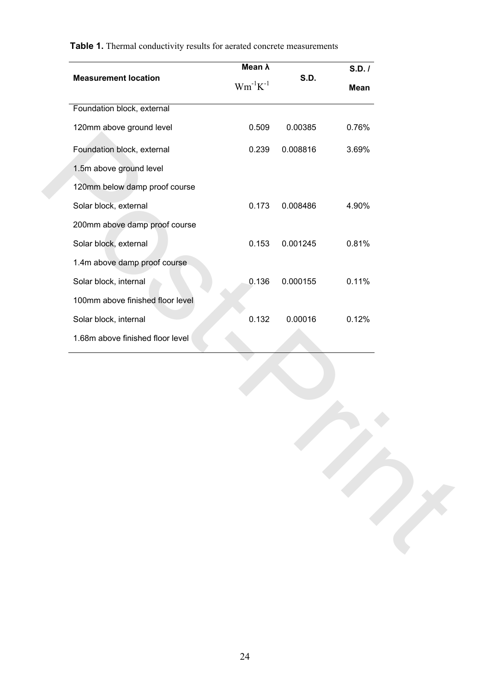|                                  | Mean $\lambda$  |             | S.D. / |
|----------------------------------|-----------------|-------------|--------|
| <b>Measurement location</b>      | $Wm^{-1}K^{-1}$ | <b>S.D.</b> | Mean   |
| Foundation block, external       |                 |             |        |
| 120mm above ground level         | 0.509           | 0.00385     | 0.76%  |
| Foundation block, external       | 0.239           | 0.008816    | 3.69%  |
| 1.5m above ground level          |                 |             |        |
| 120mm below damp proof course    |                 |             |        |
| Solar block, external            | 0.173           | 0.008486    | 4.90%  |
| 200mm above damp proof course    |                 |             |        |
| Solar block, external            | 0.153           | 0.001245    | 0.81%  |
| 1.4m above damp proof course     |                 |             |        |
| Solar block, internal            | 0.136           | 0.000155    | 0.11%  |
| 100mm above finished floor level |                 |             |        |
| Solar block, internal            | 0.132           | 0.00016     | 0.12%  |
| 1.68m above finished floor level |                 |             |        |
|                                  |                 |             |        |
|                                  |                 |             |        |
|                                  |                 |             |        |
|                                  |                 |             |        |
|                                  |                 |             |        |
|                                  |                 |             |        |
|                                  |                 |             |        |
|                                  |                 |             |        |
|                                  |                 |             |        |
|                                  |                 |             |        |
|                                  |                 |             |        |

**Table 1.** Thermal conductivity results for aerated concrete measurements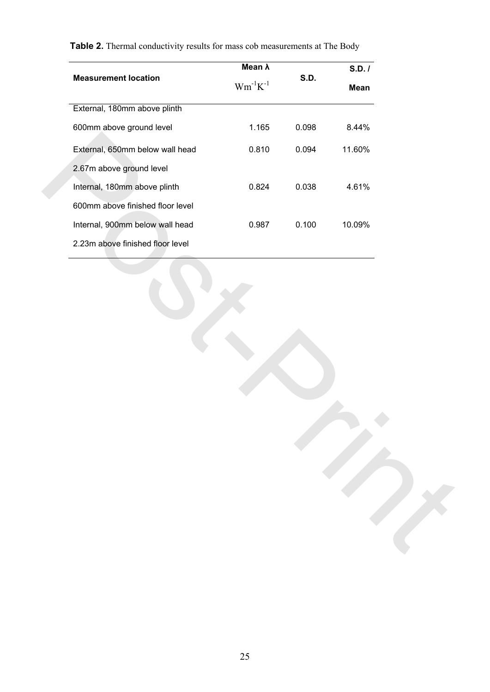| $\mathrm{Wm}^{\text{-}1}\mathrm{K}^{\text{-}1}$<br>Mean<br>1.165<br>0.098<br>8.44%<br>0.810<br>0.094<br>11.60%<br>0.824<br>0.038<br>4.61%<br>0.987<br>0.100<br>10.09% |                                  | Mean $\lambda$ |             | S.D. / |
|-----------------------------------------------------------------------------------------------------------------------------------------------------------------------|----------------------------------|----------------|-------------|--------|
|                                                                                                                                                                       | <b>Measurement location</b>      |                | <b>S.D.</b> |        |
|                                                                                                                                                                       | External, 180mm above plinth     |                |             |        |
|                                                                                                                                                                       | 600mm above ground level         |                |             |        |
|                                                                                                                                                                       | External, 650mm below wall head  |                |             |        |
|                                                                                                                                                                       | 2.67m above ground level         |                |             |        |
|                                                                                                                                                                       | Internal, 180mm above plinth     |                |             |        |
|                                                                                                                                                                       | 600mm above finished floor level |                |             |        |
|                                                                                                                                                                       | Internal, 900mm below wall head  |                |             |        |
|                                                                                                                                                                       | 2.23m above finished floor level |                |             |        |
|                                                                                                                                                                       |                                  |                |             |        |
|                                                                                                                                                                       |                                  |                |             |        |

**Table 2.** Thermal conductivity results for mass cob measurements at The Body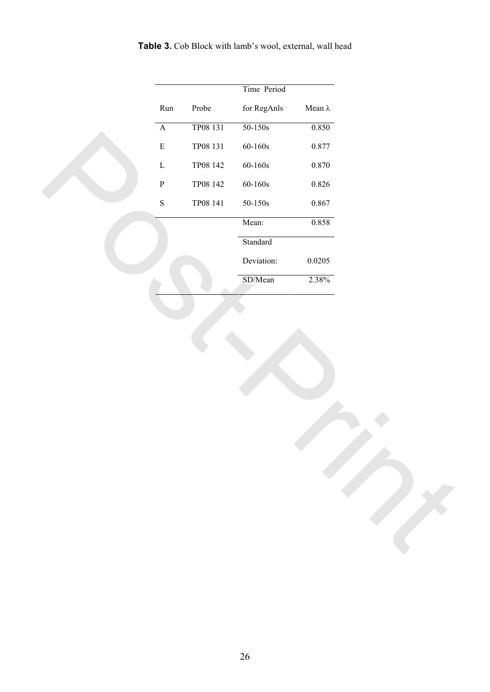|  |  | Table 3. Cob Block with lamb's wool, external, wall head |  |  |
|--|--|----------------------------------------------------------|--|--|
|--|--|----------------------------------------------------------|--|--|

| Time Period<br>Run<br>Probe<br>for RegAnls<br>Mean $\lambda$<br>TP08 131<br>$50 - 150s$<br>0.850<br>$\overline{\mathbf{A}}$<br>0.877<br>${\bf E}$<br>TP08 131<br>$60 - 160s$<br>$\mathbf L$<br>TP08 142<br>$60 - 160s$<br>0.870<br>${\bf P}$<br>TP08 142<br>$60 - 160s$<br>$0.826\,$<br>${\bf S}$<br>TP08 141<br>0.867<br>$50\mbox{-}150\mathrm{s}$<br>0.858<br>Mean:<br>Standard<br>Deviation:<br>0.0205<br>SD/Mean<br>2.38% |  |  |  |  |
|-------------------------------------------------------------------------------------------------------------------------------------------------------------------------------------------------------------------------------------------------------------------------------------------------------------------------------------------------------------------------------------------------------------------------------|--|--|--|--|
|                                                                                                                                                                                                                                                                                                                                                                                                                               |  |  |  |  |
|                                                                                                                                                                                                                                                                                                                                                                                                                               |  |  |  |  |
|                                                                                                                                                                                                                                                                                                                                                                                                                               |  |  |  |  |
|                                                                                                                                                                                                                                                                                                                                                                                                                               |  |  |  |  |
|                                                                                                                                                                                                                                                                                                                                                                                                                               |  |  |  |  |
|                                                                                                                                                                                                                                                                                                                                                                                                                               |  |  |  |  |
|                                                                                                                                                                                                                                                                                                                                                                                                                               |  |  |  |  |
|                                                                                                                                                                                                                                                                                                                                                                                                                               |  |  |  |  |
|                                                                                                                                                                                                                                                                                                                                                                                                                               |  |  |  |  |
|                                                                                                                                                                                                                                                                                                                                                                                                                               |  |  |  |  |
|                                                                                                                                                                                                                                                                                                                                                                                                                               |  |  |  |  |
|                                                                                                                                                                                                                                                                                                                                                                                                                               |  |  |  |  |
|                                                                                                                                                                                                                                                                                                                                                                                                                               |  |  |  |  |
|                                                                                                                                                                                                                                                                                                                                                                                                                               |  |  |  |  |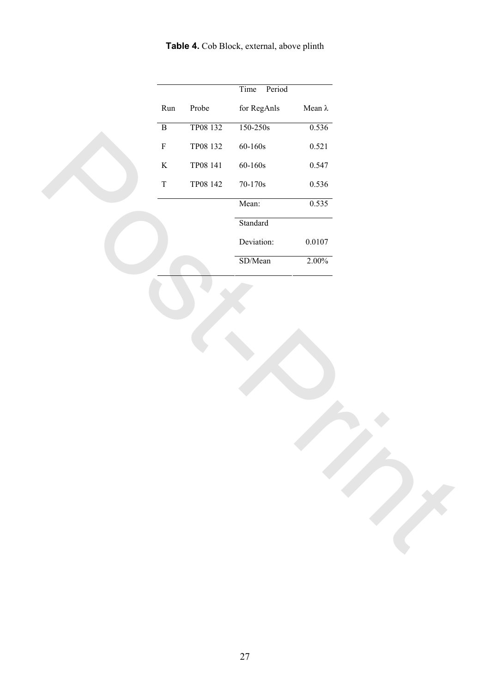**Table 4.** Cob Block, external, above plinth

|              |          | Time<br>Period     |                |  |
|--------------|----------|--------------------|----------------|--|
| $\rm Run$    | Probe    | for RegAnls        | Mean $\lambda$ |  |
| $\, {\bf B}$ | TP08 132 | $150 - 250s$       | 0.536          |  |
| $\mathbf F$  | TP08 132 | $60 - 160s$        | 0.521          |  |
| $\rm K$      | TP08 141 | $60 - 160s$        | 0.547          |  |
| $\mathbf T$  | TP08 142 | $70-170\mathrm{s}$ | 0.536          |  |
|              |          | Mean:              | 0.535          |  |
|              |          | Standard           |                |  |
|              |          | Deviation:         | $0.0107\,$     |  |
|              |          | SD/Mean            | $2.00\%$       |  |
|              |          |                    |                |  |
|              |          |                    |                |  |
|              |          |                    |                |  |
|              |          |                    |                |  |
|              |          |                    |                |  |
|              |          |                    |                |  |
|              |          |                    |                |  |
|              |          |                    |                |  |
|              |          |                    |                |  |
|              |          |                    |                |  |
|              |          |                    |                |  |
|              |          |                    |                |  |
|              |          |                    |                |  |
|              |          |                    |                |  |
|              |          |                    |                |  |
|              |          |                    |                |  |
|              |          |                    |                |  |
|              |          |                    |                |  |
|              |          |                    |                |  |
|              |          |                    |                |  |
|              |          |                    |                |  |
|              |          |                    |                |  |
|              |          |                    |                |  |
|              |          |                    |                |  |
|              |          |                    |                |  |
|              |          |                    |                |  |
|              |          |                    |                |  |
|              |          |                    |                |  |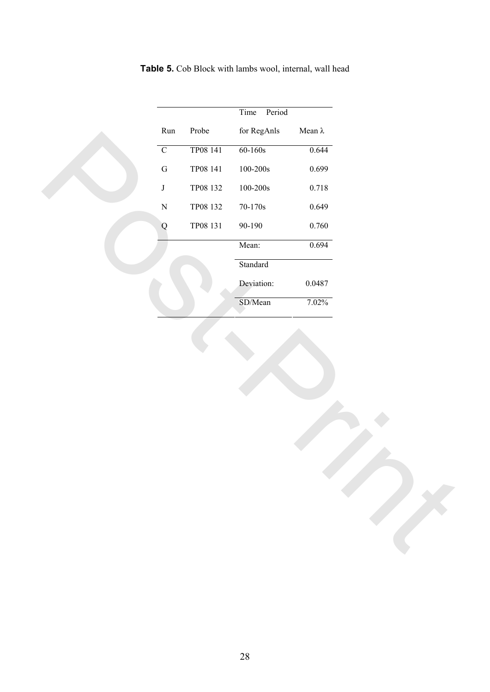|  |  |  | Table 5. Cob Block with lambs wool, internal, wall head |  |
|--|--|--|---------------------------------------------------------|--|
|  |  |  |                                                         |  |

| Time<br>Period<br>Probe<br>for RegAnls<br>Mean $\lambda$<br>Run<br>TP08 141<br>$60 - 160s$<br>0.644<br>$\overline{C}$<br>TP08 141<br>$100\mbox{-} 200\mathrm{s}$<br>0.699<br>${\bf G}$<br>TP08 132<br>$\bf J$<br>$100\mbox{-}200\mathrm{s}$<br>$0.718\,$<br>TP08 132<br>$70-170\mathrm{s}$<br>0.649<br>${\bf N}$<br>TP08 131<br>$90 - 190$<br>$0.760\,$<br>${\bf Q}$<br>0.694<br>Mean:<br>Standard<br>Deviation:<br>$0.0487\,$<br>SD/Mean<br>7.02% |  |  |  |
|----------------------------------------------------------------------------------------------------------------------------------------------------------------------------------------------------------------------------------------------------------------------------------------------------------------------------------------------------------------------------------------------------------------------------------------------------|--|--|--|
|                                                                                                                                                                                                                                                                                                                                                                                                                                                    |  |  |  |
|                                                                                                                                                                                                                                                                                                                                                                                                                                                    |  |  |  |
|                                                                                                                                                                                                                                                                                                                                                                                                                                                    |  |  |  |
|                                                                                                                                                                                                                                                                                                                                                                                                                                                    |  |  |  |
|                                                                                                                                                                                                                                                                                                                                                                                                                                                    |  |  |  |
|                                                                                                                                                                                                                                                                                                                                                                                                                                                    |  |  |  |
|                                                                                                                                                                                                                                                                                                                                                                                                                                                    |  |  |  |
|                                                                                                                                                                                                                                                                                                                                                                                                                                                    |  |  |  |
|                                                                                                                                                                                                                                                                                                                                                                                                                                                    |  |  |  |
|                                                                                                                                                                                                                                                                                                                                                                                                                                                    |  |  |  |
|                                                                                                                                                                                                                                                                                                                                                                                                                                                    |  |  |  |
|                                                                                                                                                                                                                                                                                                                                                                                                                                                    |  |  |  |
|                                                                                                                                                                                                                                                                                                                                                                                                                                                    |  |  |  |
|                                                                                                                                                                                                                                                                                                                                                                                                                                                    |  |  |  |
|                                                                                                                                                                                                                                                                                                                                                                                                                                                    |  |  |  |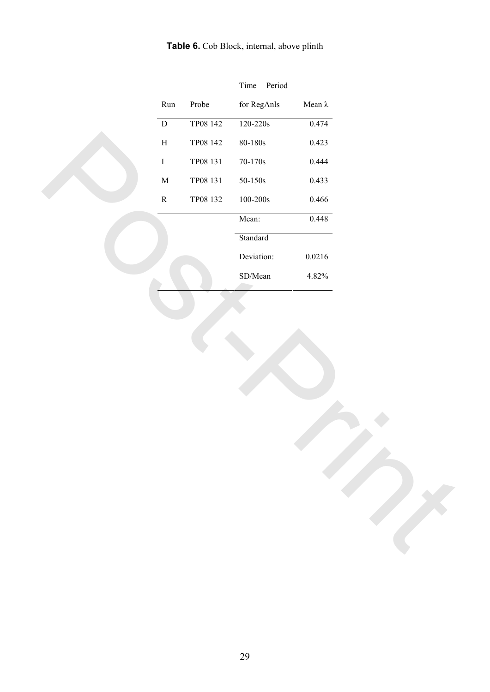**Table 6.** Cob Block, internal, above plinth

| Period<br>Time<br>$\rm Run$<br>Probe<br>for RegAnls<br>Mean $\lambda$<br>TP08 142<br>$120 - 220s$<br>0.474<br>$\overline{D}$<br>$\, {\rm H}$<br>TP08 142<br>$80\mbox{-}180\mathrm{s}$<br>0.423<br>TP08 131<br>0.444<br>$\rm I$<br>$70-170\mathrm{s}$<br>TP08 131<br>$50\mbox{-}150\mathrm{s}$<br>0.433<br>$\mathbf M$<br>${\bf R}$<br>0.466<br>TP08 132<br>$100\mbox{-} 200\mathrm{s}$<br>Mean:<br>0.448<br>Standard<br>Deviation:<br>$0.0216\,$<br>SD/Mean<br>4.82% |  |  |  |  |  |  |
|----------------------------------------------------------------------------------------------------------------------------------------------------------------------------------------------------------------------------------------------------------------------------------------------------------------------------------------------------------------------------------------------------------------------------------------------------------------------|--|--|--|--|--|--|
|                                                                                                                                                                                                                                                                                                                                                                                                                                                                      |  |  |  |  |  |  |
|                                                                                                                                                                                                                                                                                                                                                                                                                                                                      |  |  |  |  |  |  |
|                                                                                                                                                                                                                                                                                                                                                                                                                                                                      |  |  |  |  |  |  |
|                                                                                                                                                                                                                                                                                                                                                                                                                                                                      |  |  |  |  |  |  |
|                                                                                                                                                                                                                                                                                                                                                                                                                                                                      |  |  |  |  |  |  |
|                                                                                                                                                                                                                                                                                                                                                                                                                                                                      |  |  |  |  |  |  |
|                                                                                                                                                                                                                                                                                                                                                                                                                                                                      |  |  |  |  |  |  |
|                                                                                                                                                                                                                                                                                                                                                                                                                                                                      |  |  |  |  |  |  |
|                                                                                                                                                                                                                                                                                                                                                                                                                                                                      |  |  |  |  |  |  |
|                                                                                                                                                                                                                                                                                                                                                                                                                                                                      |  |  |  |  |  |  |
|                                                                                                                                                                                                                                                                                                                                                                                                                                                                      |  |  |  |  |  |  |
|                                                                                                                                                                                                                                                                                                                                                                                                                                                                      |  |  |  |  |  |  |
|                                                                                                                                                                                                                                                                                                                                                                                                                                                                      |  |  |  |  |  |  |
|                                                                                                                                                                                                                                                                                                                                                                                                                                                                      |  |  |  |  |  |  |
|                                                                                                                                                                                                                                                                                                                                                                                                                                                                      |  |  |  |  |  |  |
|                                                                                                                                                                                                                                                                                                                                                                                                                                                                      |  |  |  |  |  |  |
|                                                                                                                                                                                                                                                                                                                                                                                                                                                                      |  |  |  |  |  |  |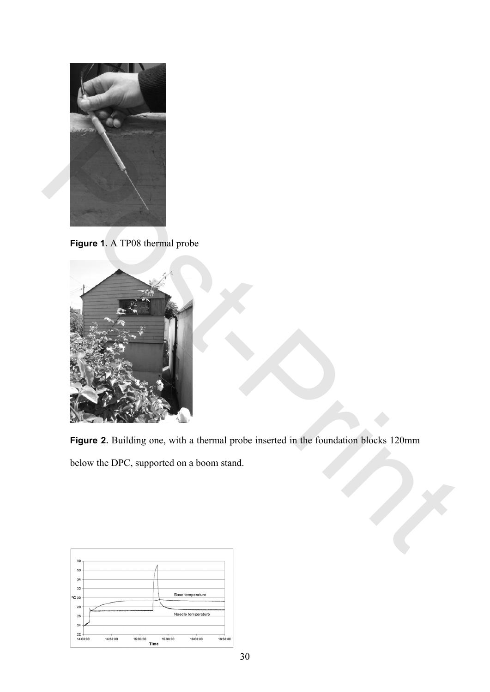

**Figure 1.** A TP08 thermal probe



**Figure 2.** Building one, with a thermal probe inserted in the foundation blocks 120mm below the DPC, supported on a boom stand.

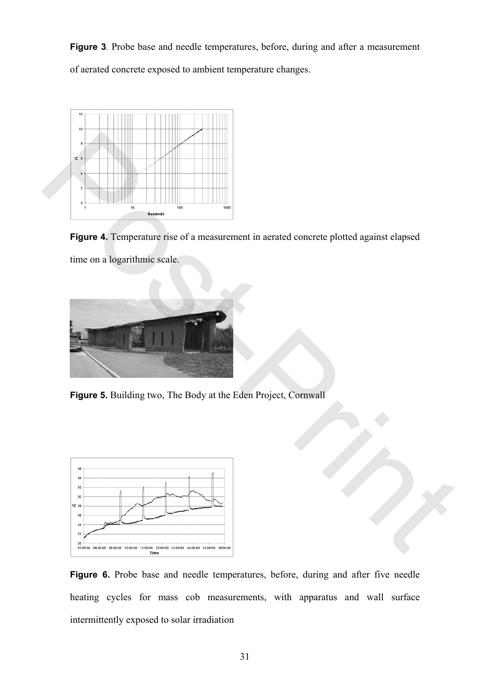**Figure 3**. Probe base and needle temperatures, before, during and after a measurement of aerated concrete exposed to ambient temperature changes.



**Figure 4.** Temperature rise of a measurement in aerated concrete plotted against elapsed time on a logarithmic scale.



**Figure 5.** Building two, The Body at the Eden Project, Cornwall



**Figure 6.** Probe base and needle temperatures, before, during and after five needle heating cycles for mass cob measurements, with apparatus and wall surface intermittently exposed to solar irradiation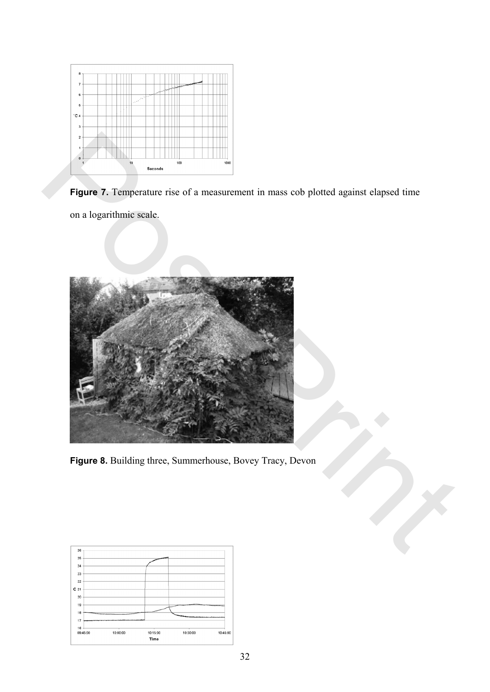

**Figure 7.** Temperature rise of a measurement in mass cob plotted against elapsed time on a logarithmic scale.



**Figure 8.** Building three, Summerhouse, Bovey Tracy, Devon

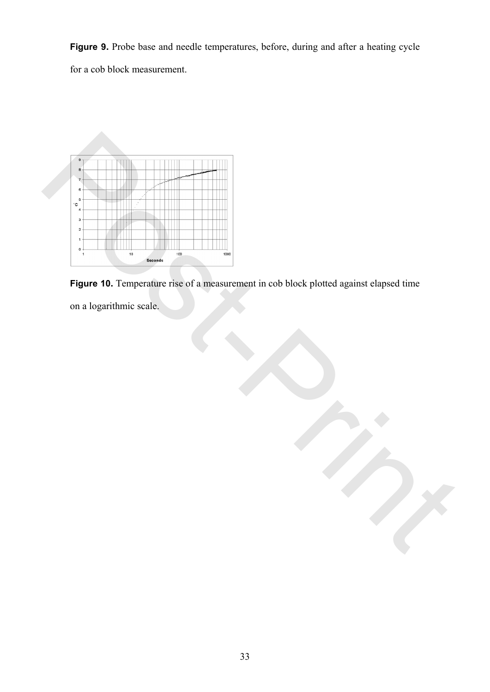**Figure 9.** Probe base and needle temperatures, before, during and after a heating cycle for a cob block measurement.



**Figure 10.** Temperature rise of a measurement in cob block plotted against elapsed time

on a logarithmic scale.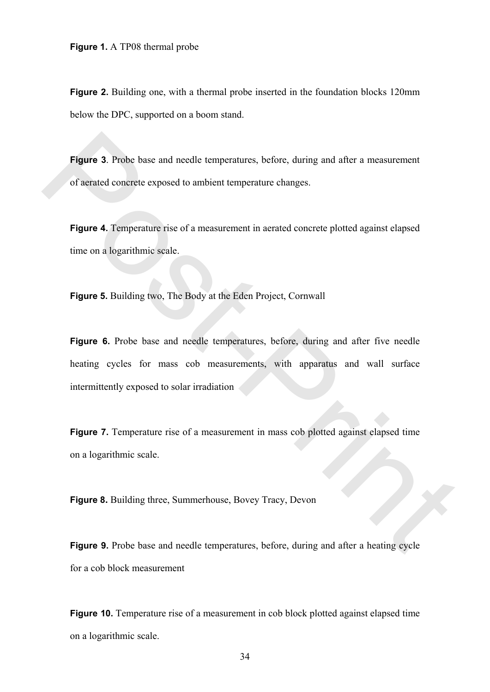**Figure 2.** Building one, with a thermal probe inserted in the foundation blocks 120mm below the DPC, supported on a boom stand.

**Figure 3**. Probe base and needle temperatures, before, during and after a measurement of aerated concrete exposed to ambient temperature changes.

**Figure 4.** Temperature rise of a measurement in aerated concrete plotted against elapsed time on a logarithmic scale.

**Figure 5.** Building two, The Body at the Eden Project, Cornwall

**Figure 6.** Probe base and needle temperatures, before, during and after five needle heating cycles for mass cob measurements, with apparatus and wall surface intermittently exposed to solar irradiation Figure 3. Probe base and needle temperatures, before, during and after a measurement<br>of aerated concrete exposed to ambient temperature changes.<br>Figure 4. Temperature rise of a measurement in acrated concrete plotted again

**Figure 7.** Temperature rise of a measurement in mass cob plotted against elapsed time on a logarithmic scale.

**Figure 8.** Building three, Summerhouse, Bovey Tracy, Devon

**Figure 9.** Probe base and needle temperatures, before, during and after a heating cycle for a cob block measurement

**Figure 10.** Temperature rise of a measurement in cob block plotted against elapsed time on a logarithmic scale.

34